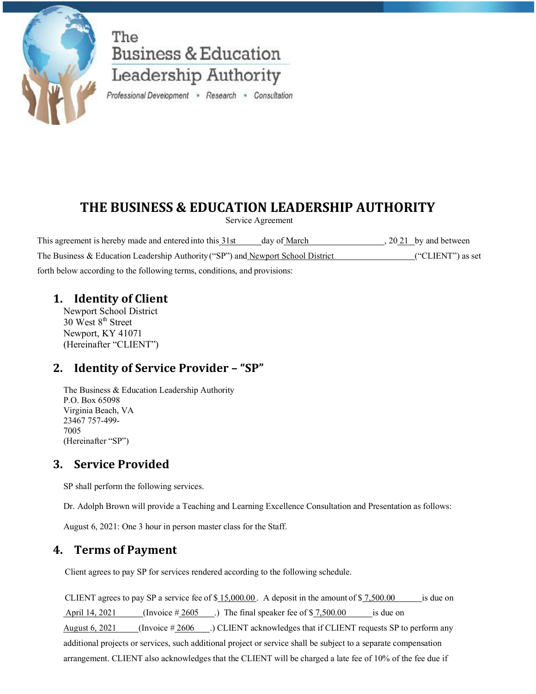

The **Business & Education** Leadership Authority

Professional Development . Research . Consultation

# **THE BUSINESS & EDUCATION LEADERSHIP AUTHORITY**

Service Agreement

This agreement is hereby made and entered into this  $\frac{31st}{d}$  day of March , 20 21 by and between The Business & Education Leadership Authority ("SP") and Newport School District ("CLIENT") as set forth below according to the following terms, conditions, and provisions:

### **1. Identity of Client**

Newport School District  $30$  West  $8<sup>th</sup>$  Street Newport, KY 41071 (Hereinafter "CLIENT")

## **2. Identity of Service Provider – "SP"**

The Business & Education Leadership Authority P.O. Box 65098 Virginia Beach, VA 23467 757-499- 7005 (Hereinafter "SP")

## **3. Service Provided**

SP shall perform the following services.

Dr. Adolph Brown will provide a Teaching and Learning Excellence Consultation and Presentation as follows:

August 6, 2021: One 3 hour in person master class for the Staff.

## **4. Terms of Payment**

Client agrees to pay SP for services rendered according to the following schedule.

CLIENT agrees to pay SP a service fee of  $$15,000.00$ . A deposit in the amount of  $$7,500.00$  is due on April 14, 2021 (Invoice  $\#2605$ ) The final speaker fee of \$ 7,500.00 is due on August 6, 2021 (Invoice  $\#2606$ ) CLIENT acknowledges that if CLIENT requests SP to perform any additional projects or services, such additional project or service shall be subject to a separate compensation arrangement. CLIENT also acknowledges that the CLIENT will be charged a late fee of 10% of the fee due if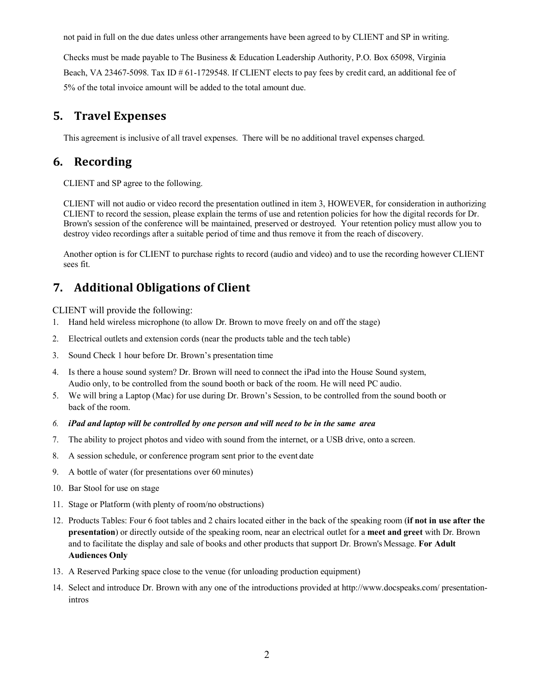not paid in full on the due dates unless other arrangements have been agreed to by CLIENT and SP in writing.

Checks must be made payable to The Business & Education Leadership Authority, P.O. Box 65098, Virginia Beach, VA 23467-5098. Tax ID # 61-1729548. If CLIENT elects to pay fees by credit card, an additional fee of 5% of the total invoice amount will be added to the total amount due.

### **5. Travel Expenses**

This agreement is inclusive of all travel expenses. There will be no additional travel expenses charged.

### **6. Recording**

CLIENT and SP agree to the following.

CLIENT will not audio or video record the presentation outlined in item 3, HOWEVER, for consideration in authorizing CLIENT to record the session, please explain the terms of use and retention policies for how the digital records for Dr. Brown's session of the conference will be maintained, preserved or destroyed. Your retention policy must allow you to destroy video recordings after a suitable period of time and thus remove it from the reach of discovery.

Another option is for CLIENT to purchase rights to record (audio and video) and to use the recording however CLIENT sees fit.

## **7. Additional Obligations of Client**

CLIENT will provide the following:

- 1. Hand held wireless microphone (to allow Dr. Brown to move freely on and off the stage)
- 2. Electrical outlets and extension cords (near the products table and the tech table)
- 3. Sound Check 1 hour before Dr. Brown's presentation time
- 4. Is there a house sound system? Dr. Brown will need to connect the iPad into the House Sound system, Audio only, to be controlled from the sound booth or back of the room. He will need PC audio.
- 5. We will bring a Laptop (Mac) for use during Dr. Brown's Session, to be controlled from the sound booth or back of the room.
- *6. iPad and laptop will be controlled by one person and will need to be in the same area*
- 7. The ability to project photos and video with sound from the internet, or a USB drive, onto a screen.
- 8. A session schedule, or conference program sent prior to the event date
- 9. A bottle of water (for presentations over 60 minutes)
- 10. Bar Stool for use on stage
- 11. Stage or Platform (with plenty of room/no obstructions)
- 12. Products Tables: Four 6 foot tables and 2 chairs located either in the back of the speaking room (**if not in use after the presentation**) or directly outside of the speaking room, near an electrical outlet for a **meet and greet** with Dr. Brown and to facilitate the display and sale of books and other products that support Dr. Brown's Message. **For Adult Audiences Only**
- 13. A Reserved Parking space close to the venue (for unloading production equipment)
- 14. Select and introduce Dr. Brown with any one of the introductions provided at http://www.docspeaks.com/ presentationintros